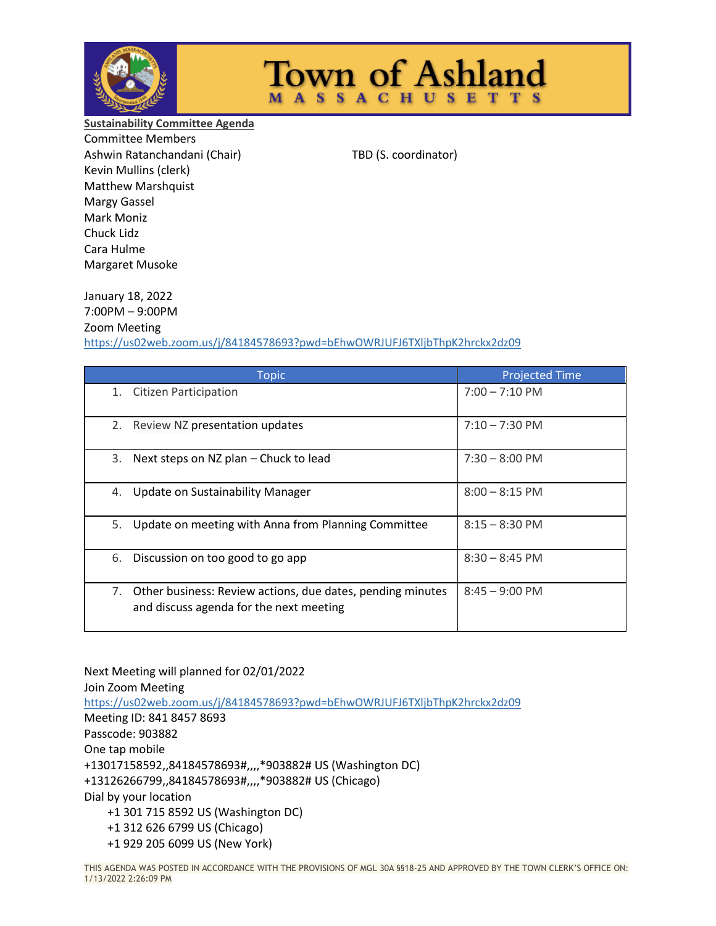

January 18, 2022

## **Town of Ashland MASSACHUSETTS**

**Sustainability Committee Agenda** Committee Members Ashwin Ratanchandani (Chair) TBD (S. coordinator) Kevin Mullins (clerk) Matthew Marshquist Margy Gassel Mark Moniz Chuck Lidz Cara Hulme Margaret Musoke

7:00PM – 9:00PM Zoom Meeting <https://us02web.zoom.us/j/84184578693?pwd=bEhwOWRJUFJ6TXljbThpK2hrckx2dz09>

| <b>Topic</b>                                                                                                | <b>Projected Time</b>    |
|-------------------------------------------------------------------------------------------------------------|--------------------------|
| <b>Citizen Participation</b><br>1.                                                                          | $7:00 - 7:10 \text{ PM}$ |
| 2.<br>Review NZ presentation updates                                                                        | $7:10 - 7:30$ PM         |
| 3.<br>Next steps on NZ plan - Chuck to lead                                                                 | $7:30 - 8:00$ PM         |
| Update on Sustainability Manager<br>4.                                                                      | $8:00 - 8:15$ PM         |
| 5.<br>Update on meeting with Anna from Planning Committee                                                   | $8:15 - 8:30$ PM         |
| Discussion on too good to go app<br>6.                                                                      | $8:30 - 8:45$ PM         |
| 7.<br>Other business: Review actions, due dates, pending minutes<br>and discuss agenda for the next meeting | $8:45 - 9:00$ PM         |

Next Meeting will planned for 02/01/2022 Join Zoom Meeting <https://us02web.zoom.us/j/84184578693?pwd=bEhwOWRJUFJ6TXljbThpK2hrckx2dz09> Meeting ID: 841 8457 8693 Passcode: 903882 One tap mobile +13017158592,,84184578693#,,,,\*903882# US (Washington DC) +13126266799,,84184578693#,,,,\*903882# US (Chicago) Dial by your location +1 301 715 8592 US (Washington DC) +1 312 626 6799 US (Chicago) +1 929 205 6099 US (New York)